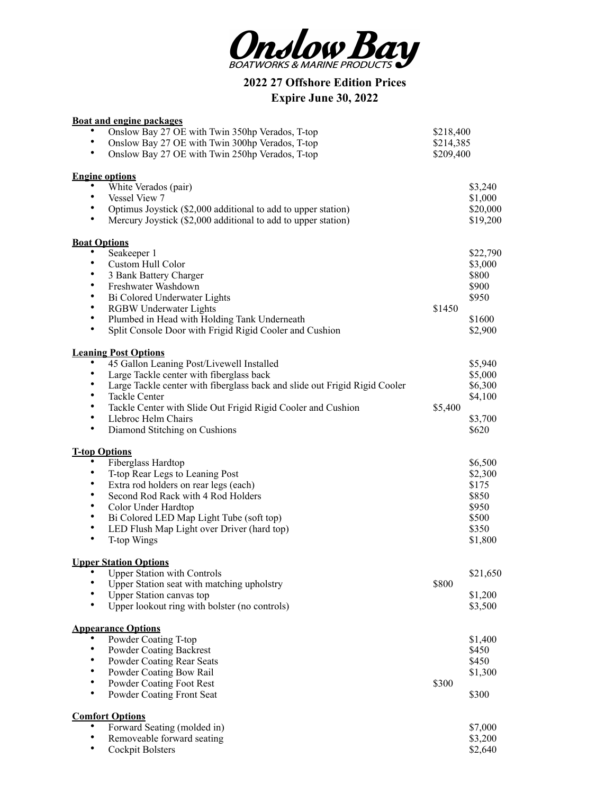

**2022 27 Offshore Edition Prices Expire June 30, 2022**

|                        | <b>Boat and engine packages</b>                                               |           |          |
|------------------------|-------------------------------------------------------------------------------|-----------|----------|
|                        | Onslow Bay 27 OE with Twin 350hp Verados, T-top                               | \$218,400 |          |
| $\bullet$              | Onslow Bay 27 OE with Twin 300hp Verados, T-top                               | \$214,385 |          |
| $\bullet$              | Onslow Bay 27 OE with Twin 250hp Verados, T-top                               | \$209,400 |          |
| <b>Engine options</b>  |                                                                               |           |          |
| $\bullet$              | White Verados (pair)                                                          |           | \$3,240  |
| $\bullet$              | Vessel View 7                                                                 |           | \$1,000  |
| $\bullet$              | Optimus Joystick (\$2,000 additional to add to upper station)                 |           | \$20,000 |
| $\bullet$              | Mercury Joystick (\$2,000 additional to add to upper station)                 |           | \$19,200 |
|                        |                                                                               |           |          |
| <b>Boat Options</b>    |                                                                               |           | \$22,790 |
| $\bullet$              | Seakeeper 1<br>Custom Hull Color                                              |           | \$3,000  |
| $\bullet$              | 3 Bank Battery Charger                                                        |           | \$800    |
| $\bullet$              | Freshwater Washdown                                                           |           | \$900    |
| $\bullet$              | Bi Colored Underwater Lights                                                  |           | \$950    |
| $\bullet$              | <b>RGBW Underwater Lights</b>                                                 | \$1450    |          |
| $\bullet$              | Plumbed in Head with Holding Tank Underneath                                  |           | \$1600   |
| $\bullet$              | Split Console Door with Frigid Rigid Cooler and Cushion                       |           | \$2,900  |
|                        |                                                                               |           |          |
|                        | <b>Leaning Post Options</b>                                                   |           |          |
|                        | 45 Gallon Leaning Post/Livewell Installed                                     |           | \$5,940  |
| $\bullet$              | Large Tackle center with fiberglass back                                      |           | \$5,000  |
| $\bullet$              | Large Tackle center with fiberglass back and slide out Frigid Rigid Cooler    |           | \$6,300  |
| $\bullet$              | Tackle Center                                                                 |           | \$4,100  |
| $\bullet$              | Tackle Center with Slide Out Frigid Rigid Cooler and Cushion                  | \$5,400   |          |
| $\bullet$              | Llebroc Helm Chairs                                                           |           | \$3,700  |
| $\bullet$              | Diamond Stitching on Cushions                                                 |           | \$620    |
| <b>T-top Options</b>   |                                                                               |           |          |
| $\bullet$              | Fiberglass Hardtop                                                            |           | \$6,500  |
| $\bullet$              | T-top Rear Legs to Leaning Post                                               |           | \$2,300  |
| $\bullet$              | Extra rod holders on rear legs (each)                                         |           | \$175    |
| $\bullet$              | Second Rod Rack with 4 Rod Holders                                            |           | \$850    |
| $\bullet$              | Color Under Hardtop                                                           |           | \$950    |
| $\bullet$              | Bi Colored LED Map Light Tube (soft top)                                      |           | \$500    |
| $\bullet$              | LED Flush Map Light over Driver (hard top)                                    |           | \$350    |
| $\bullet$              | T-top Wings                                                                   |           | \$1,800  |
|                        |                                                                               |           |          |
| $\bullet$              | <b>Upper Station Options</b><br><b>Upper Station with Controls</b>            |           |          |
| ٠                      |                                                                               | \$800     | \$21,650 |
| $\bullet$              | Upper Station seat with matching upholstry<br><b>Upper Station canvas top</b> |           | \$1,200  |
| $\bullet$              | Upper lookout ring with bolster (no controls)                                 |           | \$3,500  |
|                        |                                                                               |           |          |
|                        | <b>Appearance Options</b>                                                     |           |          |
|                        | Powder Coating T-top                                                          |           | \$1,400  |
| $\bullet$              | <b>Powder Coating Backrest</b>                                                |           | \$450    |
| $\bullet$              | Powder Coating Rear Seats                                                     |           | \$450    |
| $\bullet$              | Powder Coating Bow Rail                                                       |           | \$1,300  |
| $\bullet$              | Powder Coating Foot Rest                                                      | \$300     |          |
| $\bullet$              | Powder Coating Front Seat                                                     |           | \$300    |
| <b>Comfort Options</b> |                                                                               |           |          |
| $\bullet$              | Forward Seating (molded in)                                                   |           | \$7,000  |
| $\bullet$              | Removeable forward seating                                                    |           | \$3,200  |
|                        | Cockpit Bolsters                                                              |           | \$2,640  |